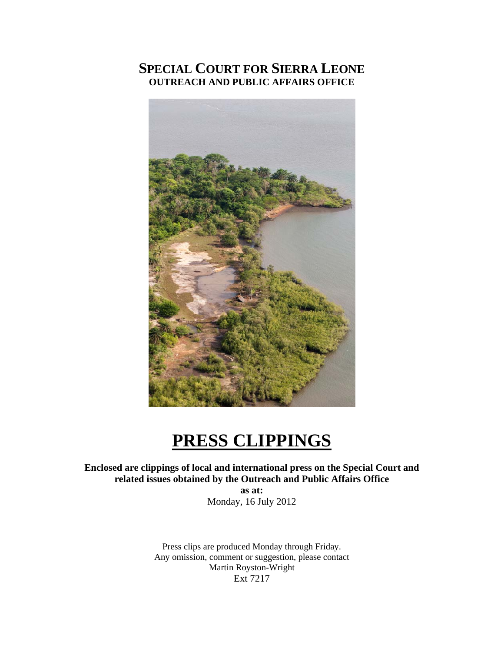# **SPECIAL COURT FOR SIERRA LEONE OUTREACH AND PUBLIC AFFAIRS OFFICE**



# **PRESS CLIPPINGS**

# **Enclosed are clippings of local and international press on the Special Court and related issues obtained by the Outreach and Public Affairs Office**

**as at:**  Monday, 16 July 2012

Press clips are produced Monday through Friday. Any omission, comment or suggestion, please contact Martin Royston-Wright Ext 7217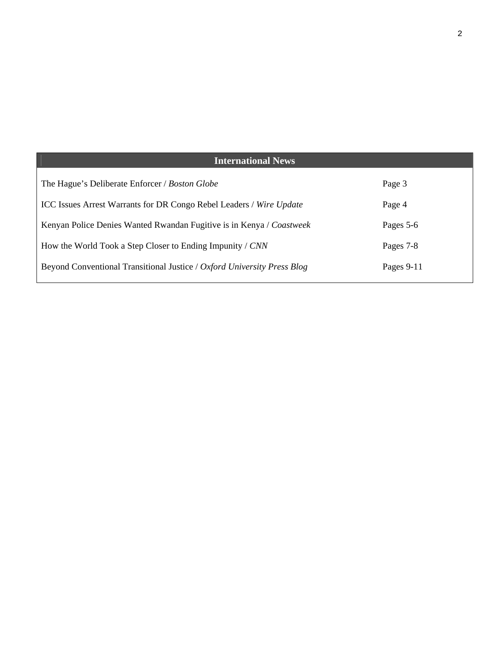| <b>International News</b>                                                  |              |
|----------------------------------------------------------------------------|--------------|
| The Hague's Deliberate Enforcer / Boston Globe                             | Page 3       |
| <b>ICC Issues Arrest Warrants for DR Congo Rebel Leaders / Wire Update</b> | Page 4       |
| Kenyan Police Denies Wanted Rwandan Fugitive is in Kenya / Coastweek       | Pages 5-6    |
| How the World Took a Step Closer to Ending Impunity / CNN                  | Pages 7-8    |
| Beyond Conventional Transitional Justice / Oxford University Press Blog    | Pages $9-11$ |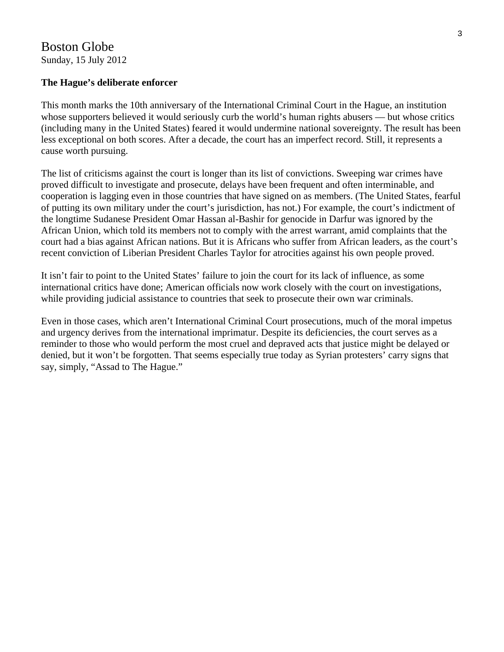# Boston Globe Sunday, 15 July 2012

### **The Hague's deliberate enforcer**

This month marks the 10th anniversary of the International Criminal Court in the Hague, an institution whose supporters believed it would seriously curb the world's human rights abusers — but whose critics (including many in the United States) feared it would undermine national sovereignty. The result has been less exceptional on both scores. After a decade, the court has an imperfect record. Still, it represents a cause worth pursuing.

The list of criticisms against the court is longer than its list of convictions. Sweeping war crimes have proved difficult to investigate and prosecute, delays have been frequent and often interminable, and cooperation is lagging even in those countries that have signed on as members. (The United States, fearful of putting its own military under the court's jurisdiction, has not.) For example, the court's indictment of the longtime Sudanese President Omar Hassan al-Bashir for genocide in Darfur was ignored by the African Union, which told its members not to comply with the arrest warrant, amid complaints that the court had a bias against African nations. But it is Africans who suffer from African leaders, as the court's recent conviction of Liberian President Charles Taylor for atrocities against his own people proved.

It isn't fair to point to the United States' failure to join the court for its lack of influence, as some international critics have done; American officials now work closely with the court on investigations, while providing judicial assistance to countries that seek to prosecute their own war criminals.

Even in those cases, which aren't International Criminal Court prosecutions, much of the moral impetus and urgency derives from the international imprimatur. Despite its deficiencies, the court serves as a reminder to those who would perform the most cruel and depraved acts that justice might be delayed or denied, but it won't be forgotten. That seems especially true today as Syrian protesters' carry signs that say, simply, "Assad to The Hague."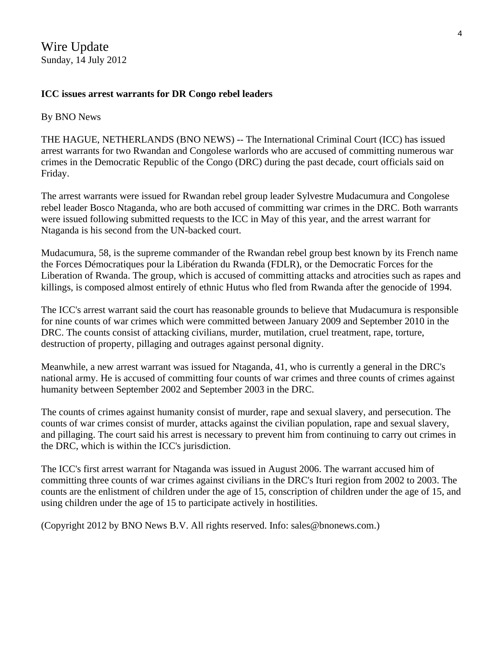Wire Update Sunday, 14 July 2012

## **ICC issues arrest warrants for DR Congo rebel leaders**

#### By BNO News

THE HAGUE, NETHERLANDS (BNO NEWS) -- The International Criminal Court (ICC) has issued arrest warrants for two Rwandan and Congolese warlords who are accused of committing numerous war crimes in the Democratic Republic of the Congo (DRC) during the past decade, court officials said on Friday.

The arrest warrants were issued for Rwandan rebel group leader Sylvestre Mudacumura and Congolese rebel leader Bosco Ntaganda, who are both accused of committing war crimes in the DRC. Both warrants were issued following submitted requests to the ICC in May of this year, and the arrest warrant for Ntaganda is his second from the UN-backed court.

Mudacumura, 58, is the supreme commander of the Rwandan rebel group best known by its French name the Forces Démocratiques pour la Libération du Rwanda (FDLR), or the Democratic Forces for the Liberation of Rwanda. The group, which is accused of committing attacks and atrocities such as rapes and killings, is composed almost entirely of ethnic Hutus who fled from Rwanda after the genocide of 1994.

The ICC's arrest warrant said the court has reasonable grounds to believe that Mudacumura is responsible for nine counts of war crimes which were committed between January 2009 and September 2010 in the DRC. The counts consist of attacking civilians, murder, mutilation, cruel treatment, rape, torture, destruction of property, pillaging and outrages against personal dignity.

Meanwhile, a new arrest warrant was issued for Ntaganda, 41, who is currently a general in the DRC's national army. He is accused of committing four counts of war crimes and three counts of crimes against humanity between September 2002 and September 2003 in the DRC.

The counts of crimes against humanity consist of murder, rape and sexual slavery, and persecution. The counts of war crimes consist of murder, attacks against the civilian population, rape and sexual slavery, and pillaging. The court said his arrest is necessary to prevent him from continuing to carry out crimes in the DRC, which is within the ICC's jurisdiction.

The ICC's first arrest warrant for Ntaganda was issued in August 2006. The warrant accused him of committing three counts of war crimes against civilians in the DRC's Ituri region from 2002 to 2003. The counts are the enlistment of children under the age of 15, conscription of children under the age of 15, and using children under the age of 15 to participate actively in hostilities.

(Copyright 2012 by BNO News B.V. All rights reserved. Info: sales@bnonews.com.)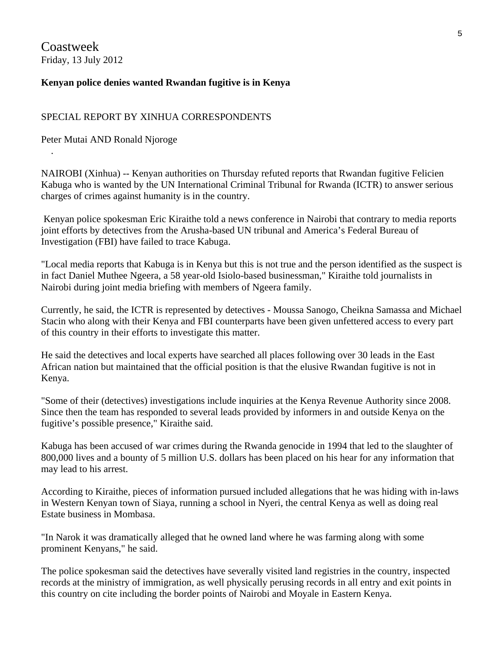Coastweek Friday, 13 July 2012

.

#### **Kenyan police denies wanted Rwandan fugitive is in Kenya**

#### SPECIAL REPORT BY XINHUA CORRESPONDENTS

Peter Mutai AND Ronald Njoroge

NAIROBI (Xinhua) -- Kenyan authorities on Thursday refuted reports that Rwandan fugitive Felicien Kabuga who is wanted by the UN International Criminal Tribunal for Rwanda (ICTR) to answer serious charges of crimes against humanity is in the country.

 Kenyan police spokesman Eric Kiraithe told a news conference in Nairobi that contrary to media reports joint efforts by detectives from the Arusha-based UN tribunal and America's Federal Bureau of Investigation (FBI) have failed to trace Kabuga.

"Local media reports that Kabuga is in Kenya but this is not true and the person identified as the suspect is in fact Daniel Muthee Ngeera, a 58 year-old Isiolo-based businessman," Kiraithe told journalists in Nairobi during joint media briefing with members of Ngeera family.

Currently, he said, the ICTR is represented by detectives - Moussa Sanogo, Cheikna Samassa and Michael Stacin who along with their Kenya and FBI counterparts have been given unfettered access to every part of this country in their efforts to investigate this matter.

He said the detectives and local experts have searched all places following over 30 leads in the East African nation but maintained that the official position is that the elusive Rwandan fugitive is not in Kenya.

"Some of their (detectives) investigations include inquiries at the Kenya Revenue Authority since 2008. Since then the team has responded to several leads provided by informers in and outside Kenya on the fugitive's possible presence," Kiraithe said.

Kabuga has been accused of war crimes during the Rwanda genocide in 1994 that led to the slaughter of 800,000 lives and a bounty of 5 million U.S. dollars has been placed on his hear for any information that may lead to his arrest.

According to Kiraithe, pieces of information pursued included allegations that he was hiding with in-laws in Western Kenyan town of Siaya, running a school in Nyeri, the central Kenya as well as doing real Estate business in Mombasa.

"In Narok it was dramatically alleged that he owned land where he was farming along with some prominent Kenyans," he said.

The police spokesman said the detectives have severally visited land registries in the country, inspected records at the ministry of immigration, as well physically perusing records in all entry and exit points in this country on cite including the border points of Nairobi and Moyale in Eastern Kenya.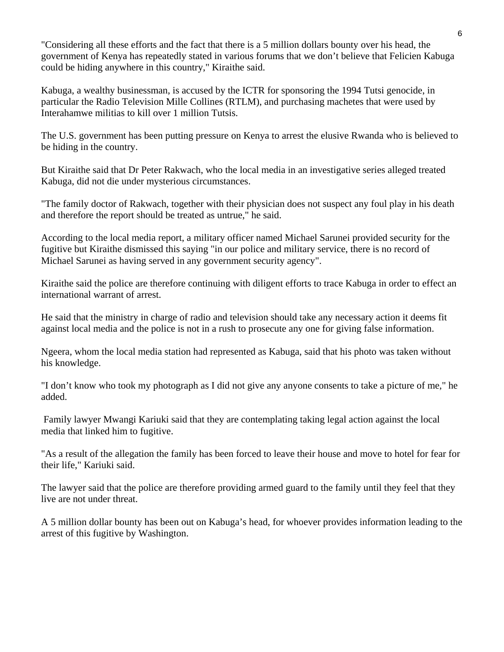"Considering all these efforts and the fact that there is a 5 million dollars bounty over his head, the government of Kenya has repeatedly stated in various forums that we don't believe that Felicien Kabuga could be hiding anywhere in this country," Kiraithe said.

Kabuga, a wealthy businessman, is accused by the ICTR for sponsoring the 1994 Tutsi genocide, in particular the Radio Television Mille Collines (RTLM), and purchasing machetes that were used by Interahamwe militias to kill over 1 million Tutsis.

The U.S. government has been putting pressure on Kenya to arrest the elusive Rwanda who is believed to be hiding in the country.

But Kiraithe said that Dr Peter Rakwach, who the local media in an investigative series alleged treated Kabuga, did not die under mysterious circumstances.

"The family doctor of Rakwach, together with their physician does not suspect any foul play in his death and therefore the report should be treated as untrue," he said.

According to the local media report, a military officer named Michael Sarunei provided security for the fugitive but Kiraithe dismissed this saying "in our police and military service, there is no record of Michael Sarunei as having served in any government security agency".

Kiraithe said the police are therefore continuing with diligent efforts to trace Kabuga in order to effect an international warrant of arrest.

He said that the ministry in charge of radio and television should take any necessary action it deems fit against local media and the police is not in a rush to prosecute any one for giving false information.

Ngeera, whom the local media station had represented as Kabuga, said that his photo was taken without his knowledge.

"I don't know who took my photograph as I did not give any anyone consents to take a picture of me," he added.

 Family lawyer Mwangi Kariuki said that they are contemplating taking legal action against the local media that linked him to fugitive.

"As a result of the allegation the family has been forced to leave their house and move to hotel for fear for their life," Kariuki said.

The lawyer said that the police are therefore providing armed guard to the family until they feel that they live are not under threat.

A 5 million dollar bounty has been out on Kabuga's head, for whoever provides information leading to the arrest of this fugitive by Washington.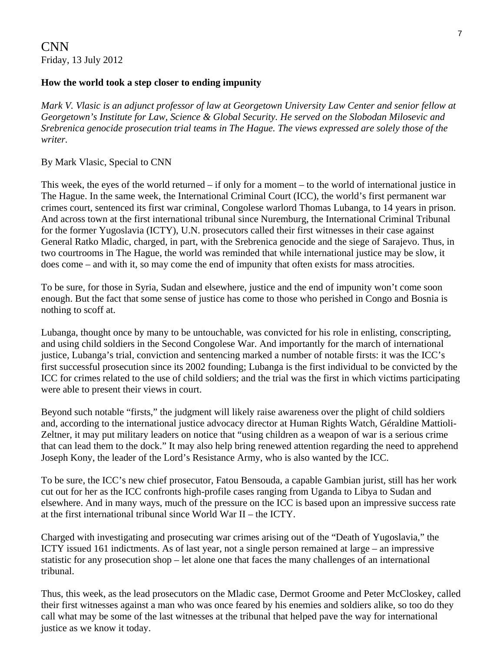## **How the world took a step closer to ending impunity**

*Mark V. Vlasic is an adjunct professor of law at Georgetown University Law Center and senior fellow at Georgetown's Institute for Law, Science & Global Security. He served on the Slobodan Milosevic and Srebrenica genocide prosecution trial teams in The Hague. The views expressed are solely those of the writer.* 

### By Mark Vlasic, Special to CNN

This week, the eyes of the world returned – if only for a moment – to the world of international justice in The Hague. In the same week, the International Criminal Court (ICC), the world's first permanent war crimes court, sentenced its first war criminal, Congolese warlord Thomas Lubanga, to 14 years in prison. And across town at the first international tribunal since Nuremburg, the International Criminal Tribunal for the former Yugoslavia (ICTY), U.N. prosecutors called their first witnesses in their case against General Ratko Mladic, charged, in part, with the Srebrenica genocide and the siege of Sarajevo. Thus, in two courtrooms in The Hague, the world was reminded that while international justice may be slow, it does come – and with it, so may come the end of impunity that often exists for mass atrocities.

To be sure, for those in Syria, Sudan and elsewhere, justice and the end of impunity won't come soon enough. But the fact that some sense of justice has come to those who perished in Congo and Bosnia is nothing to scoff at.

Lubanga, thought once by many to be untouchable, was convicted for his role in enlisting, conscripting, and using child soldiers in the Second Congolese War. And importantly for the march of international justice, Lubanga's trial, conviction and sentencing marked a number of notable firsts: it was the ICC's first successful prosecution since its 2002 founding; Lubanga is the first individual to be convicted by the ICC for crimes related to the use of child soldiers; and the trial was the first in which victims participating were able to present their views in court.

Beyond such notable "firsts," the judgment will likely raise awareness over the plight of child soldiers and, according to the international justice advocacy director at Human Rights Watch, Géraldine Mattioli-Zeltner, it may put military leaders on notice that "using children as a weapon of war is a serious crime that can lead them to the dock." It may also help bring renewed attention regarding the need to apprehend Joseph Kony, the leader of the Lord's Resistance Army, who is also wanted by the ICC.

To be sure, the ICC's new chief prosecutor, Fatou Bensouda, a capable Gambian jurist, still has her work cut out for her as the ICC confronts high-profile cases ranging from Uganda to Libya to Sudan and elsewhere. And in many ways, much of the pressure on the ICC is based upon an impressive success rate at the first international tribunal since World War II – the ICTY.

Charged with investigating and prosecuting war crimes arising out of the "Death of Yugoslavia," the ICTY issued 161 indictments. As of last year, not a single person remained at large – an impressive statistic for any prosecution shop – let alone one that faces the many challenges of an international tribunal.

Thus, this week, as the lead prosecutors on the Mladic case, Dermot Groome and Peter McCloskey, called their first witnesses against a man who was once feared by his enemies and soldiers alike, so too do they call what may be some of the last witnesses at the tribunal that helped pave the way for international justice as we know it today.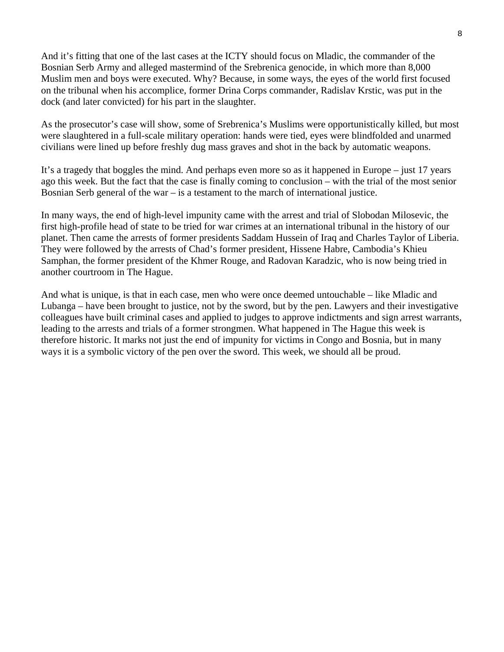And it's fitting that one of the last cases at the ICTY should focus on Mladic, the commander of the Bosnian Serb Army and alleged mastermind of the Srebrenica genocide, in which more than 8,000 Muslim men and boys were executed. Why? Because, in some ways, the eyes of the world first focused on the tribunal when his accomplice, former Drina Corps commander, Radislav Krstic, was put in the dock (and later convicted) for his part in the slaughter.

As the prosecutor's case will show, some of Srebrenica's Muslims were opportunistically killed, but most were slaughtered in a full-scale military operation: hands were tied, eyes were blindfolded and unarmed civilians were lined up before freshly dug mass graves and shot in the back by automatic weapons.

It's a tragedy that boggles the mind. And perhaps even more so as it happened in Europe – just 17 years ago this week. But the fact that the case is finally coming to conclusion – with the trial of the most senior Bosnian Serb general of the war – is a testament to the march of international justice.

In many ways, the end of high-level impunity came with the arrest and trial of Slobodan Milosevic, the first high-profile head of state to be tried for war crimes at an international tribunal in the history of our planet. Then came the arrests of former presidents Saddam Hussein of Iraq and Charles Taylor of Liberia. They were followed by the arrests of Chad's former president, Hissene Habre, Cambodia's Khieu Samphan, the former president of the Khmer Rouge, and Radovan Karadzic, who is now being tried in another courtroom in The Hague.

And what is unique, is that in each case, men who were once deemed untouchable – like Mladic and Lubanga – have been brought to justice, not by the sword, but by the pen. Lawyers and their investigative colleagues have built criminal cases and applied to judges to approve indictments and sign arrest warrants, leading to the arrests and trials of a former strongmen. What happened in The Hague this week is therefore historic. It marks not just the end of impunity for victims in Congo and Bosnia, but in many ways it is a symbolic victory of the pen over the sword. This week, we should all be proud.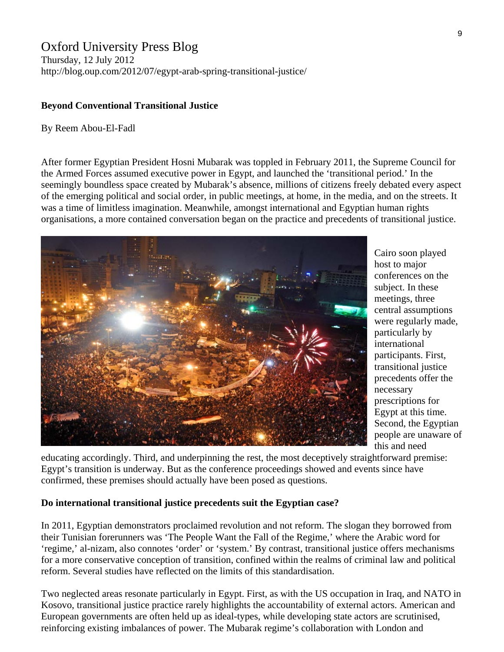# Oxford University Press Blog

Thursday, 12 July 2012 http://blog.oup.com/2012/07/egypt-arab-spring-transitional-justice/

#### **Beyond Conventional Transitional Justice**

#### By Reem Abou-El-Fadl

After former Egyptian President Hosni Mubarak was toppled in February 2011, the Supreme Council for the Armed Forces assumed executive power in Egypt, and launched the 'transitional period.' In the seemingly boundless space created by Mubarak's absence, millions of citizens freely debated every aspect of the emerging political and social order, in public meetings, at home, in the media, and on the streets. It was a time of limitless imagination. Meanwhile, amongst international and Egyptian human rights organisations, a more contained conversation began on the practice and precedents of transitional justice.



Cairo soon played host to major conferences on the subject. In these meetings, three central assumptions were regularly made, particularly by international participants. First, transitional justice precedents offer the necessary prescriptions for Egypt at this time. Second, the Egyptian people are unaware o f this and need

educating accordingly. Third, and underpinning the rest, the most deceptively straightforward premise: Egypt's transition is underway. But as the conference proceedings showed and events since have confirmed, these premises should actually have been posed as questions.

#### **Do international transitional justice precedents suit the Egyptian case?**

In 2011, Egyptian demonstrators proclaimed revolution and not reform. The slogan they borrowed from their Tunisian forerunners was 'The People Want the Fall of the Regime,' where the Arabic word for 'regime,' al-nizam, also connotes 'order' or 'system.' By contrast, transitional justice offers mechanisms for a more conservative conception of transition, confined within the realms of criminal law and political reform. Several studies have reflected on the limits of this standardisation.

Two neglected areas resonate particularly in Egypt. First, as with the US occupation in Iraq, and NATO in Kosovo, transitional justice practice rarely highlights the accountability of external actors. American and European governments are often held up as ideal-types, while developing state actors are scrutinised, reinforcing existing imbalances of power. The Mubarak regime's collaboration with London and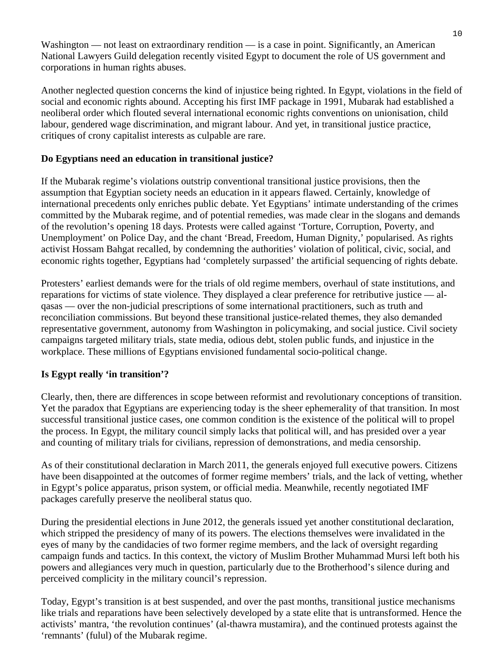Washington — not least on extraordinary rendition — is a case in point. Significantly, an American National Lawyers Guild delegation recently visited Egypt to document the role of US government and corporations in human rights abuses.

Another neglected question concerns the kind of injustice being righted. In Egypt, violations in the field of social and economic rights abound. Accepting his first IMF package in 1991, Mubarak had established a neoliberal order which flouted several international economic rights conventions on unionisation, child labour, gendered wage discrimination, and migrant labour. And yet, in transitional justice practice, critiques of crony capitalist interests as culpable are rare.

# **Do Egyptians need an education in transitional justice?**

If the Mubarak regime's violations outstrip conventional transitional justice provisions, then the assumption that Egyptian society needs an education in it appears flawed. Certainly, knowledge of international precedents only enriches public debate. Yet Egyptians' intimate understanding of the crimes committed by the Mubarak regime, and of potential remedies, was made clear in the slogans and demands of the revolution's opening 18 days. Protests were called against 'Torture, Corruption, Poverty, and Unemployment' on Police Day, and the chant 'Bread, Freedom, Human Dignity,' popularised. As rights activist Hossam Bahgat recalled, by condemning the authorities' violation of political, civic, social, and economic rights together, Egyptians had 'completely surpassed' the artificial sequencing of rights debate.

Protesters' earliest demands were for the trials of old regime members, overhaul of state institutions, and reparations for victims of state violence. They displayed a clear preference for retributive justice — alqasas — over the non-judicial prescriptions of some international practitioners, such as truth and reconciliation commissions. But beyond these transitional justice-related themes, they also demanded representative government, autonomy from Washington in policymaking, and social justice. Civil society campaigns targeted military trials, state media, odious debt, stolen public funds, and injustice in the workplace. These millions of Egyptians envisioned fundamental socio-political change.

# **Is Egypt really 'in transition'?**

Clearly, then, there are differences in scope between reformist and revolutionary conceptions of transition. Yet the paradox that Egyptians are experiencing today is the sheer ephemerality of that transition. In most successful transitional justice cases, one common condition is the existence of the political will to propel the process. In Egypt, the military council simply lacks that political will, and has presided over a year and counting of military trials for civilians, repression of demonstrations, and media censorship.

As of their constitutional declaration in March 2011, the generals enjoyed full executive powers. Citizens have been disappointed at the outcomes of former regime members' trials, and the lack of vetting, whether in Egypt's police apparatus, prison system, or official media. Meanwhile, recently negotiated IMF packages carefully preserve the neoliberal status quo.

During the presidential elections in June 2012, the generals issued yet another constitutional declaration, which stripped the presidency of many of its powers. The elections themselves were invalidated in the eyes of many by the candidacies of two former regime members, and the lack of oversight regarding campaign funds and tactics. In this context, the victory of Muslim Brother Muhammad Mursi left both his powers and allegiances very much in question, particularly due to the Brotherhood's silence during and perceived complicity in the military council's repression.

Today, Egypt's transition is at best suspended, and over the past months, transitional justice mechanisms like trials and reparations have been selectively developed by a state elite that is untransformed. Hence the activists' mantra, 'the revolution continues' (al-thawra mustamira), and the continued protests against the 'remnants' (fulul) of the Mubarak regime.